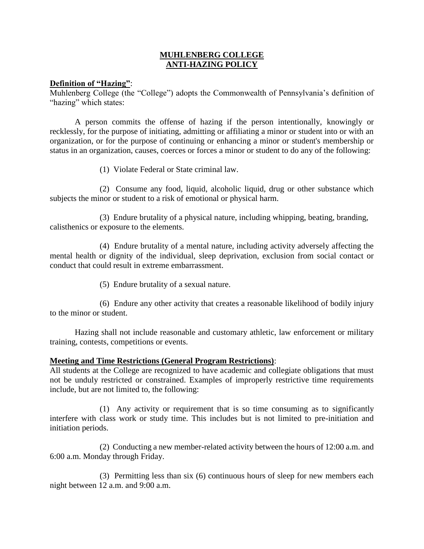## **MUHLENBERG COLLEGE ANTI-HAZING POLICY**

## **Definition of "Hazing"**:

Muhlenberg College (the "College") adopts the Commonwealth of Pennsylvania's definition of "hazing" which states:

A person commits the offense of hazing if the person intentionally, knowingly or recklessly, for the purpose of initiating, admitting or affiliating a minor or student into or with an organization, or for the purpose of continuing or enhancing a minor or student's membership or status in an organization, causes, coerces or forces a minor or student to do any of the following:

(1) Violate Federal or State criminal law.

(2) Consume any food, liquid, alcoholic liquid, drug or other substance which subjects the minor or student to a risk of emotional or physical harm.

(3) Endure brutality of a physical nature, including whipping, beating, branding, calisthenics or exposure to the elements.

(4) Endure brutality of a mental nature, including activity adversely affecting the mental health or dignity of the individual, sleep deprivation, exclusion from social contact or conduct that could result in extreme embarrassment.

(5) Endure brutality of a sexual nature.

(6) Endure any other activity that creates a reasonable likelihood of bodily injury to the minor or student.

Hazing shall not include reasonable and customary athletic, law enforcement or military training, contests, competitions or events.

## **Meeting and Time Restrictions (General Program Restrictions)**:

All students at the College are recognized to have academic and collegiate obligations that must not be unduly restricted or constrained. Examples of improperly restrictive time requirements include, but are not limited to, the following:

(1) Any activity or requirement that is so time consuming as to significantly interfere with class work or study time. This includes but is not limited to pre-initiation and initiation periods.

(2) Conducting a new member-related activity between the hours of 12:00 a.m. and 6:00 a.m. Monday through Friday.

(3) Permitting less than six (6) continuous hours of sleep for new members each night between 12 a.m. and 9:00 a.m.